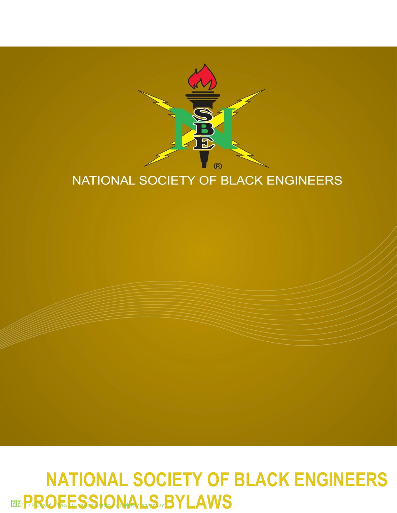

## NATIONAL SOCIETY OF BLACK ENGINEERS

# General Business Think Green! **PROFESSIONALS** Please do not print unless absolutely necessary**BYLAWSNATIONAL SOCIETY OF BLACK ENGINEERS**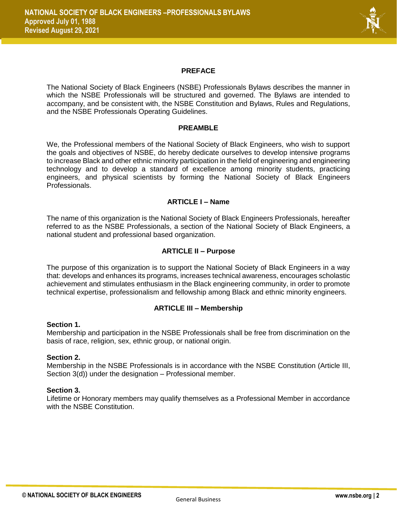

#### **PREFACE**

The National Society of Black Engineers (NSBE) Professionals Bylaws describes the manner in which the NSBE Professionals will be structured and governed. The Bylaws are intended to accompany, and be consistent with, the NSBE Constitution and Bylaws, Rules and Regulations, and the NSBE Professionals Operating Guidelines.

#### **PREAMBLE**

We, the Professional members of the National Society of Black Engineers, who wish to support the goals and objectives of NSBE, do hereby dedicate ourselves to develop intensive programs to increase Black and other ethnic minority participation in the field of engineering and engineering technology and to develop a standard of excellence among minority students, practicing engineers, and physical scientists by forming the National Society of Black Engineers Professionals.

#### **ARTICLE I – Name**

The name of this organization is the National Society of Black Engineers Professionals, hereafter referred to as the NSBE Professionals, a section of the National Society of Black Engineers, a national student and professional based organization.

#### **ARTICLE II – Purpose**

The purpose of this organization is to support the National Society of Black Engineers in a way that: develops and enhances its programs, increases technical awareness, encourages scholastic achievement and stimulates enthusiasm in the Black engineering community, in order to promote technical expertise, professionalism and fellowship among Black and ethnic minority engineers.

#### **ARTICLE III – Membership**

#### **Section 1.**

Membership and participation in the NSBE Professionals shall be free from discrimination on the basis of race, religion, sex, ethnic group, or national origin.

#### **Section 2.**

Membership in the NSBE Professionals is in accordance with the NSBE Constitution (Article III, Section 3(d)) under the designation – Professional member.

#### **Section 3.**

Lifetime or Honorary members may qualify themselves as a Professional Member in accordance with the NSBE Constitution.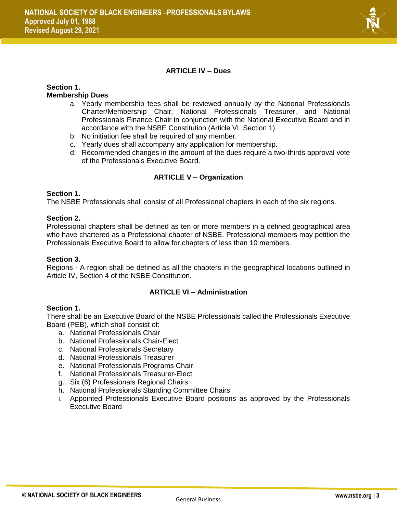

#### **ARTICLE IV – Dues**

#### **Section 1. Membership Dues**

- a. Yearly membership fees shall be reviewed annually by the National Professionals Charter/Membership Chair, National Professionals Treasurer, and National Professionals Finance Chair in conjunction with the National Executive Board and in accordance with the NSBE Constitution (Article VI, Section 1).
- b. No initiation fee shall be required of any member.
- c. Yearly dues shall accompany any application for membership.
- d. Recommended changes in the amount of the dues require a two-thirds approval vote of the Professionals Executive Board.

#### **ARTICLE V – Organization**

#### **Section 1.**

The NSBE Professionals shall consist of all Professional chapters in each of the six regions.

#### **Section 2.**

Professional chapters shall be defined as ten or more members in a defined geographical area who have chartered as a Professional chapter of NSBE. Professional members may petition the Professionals Executive Board to allow for chapters of less than 10 members.

#### **Section 3.**

Regions - A region shall be defined as all the chapters in the geographical locations outlined in Article IV, Section 4 of the NSBE Constitution.

#### **ARTICLE VI – Administration**

#### **Section 1.**

There shall be an Executive Board of the NSBE Professionals called the Professionals Executive Board (PEB), which shall consist of:

- a. National Professionals Chair
- b. National Professionals Chair-Elect
- c. National Professionals Secretary
- d. National Professionals Treasurer
- e. National Professionals Programs Chair
- f. National Professionals Treasurer-Elect
- g. Six (6) Professionals Regional Chairs
- h. National Professionals Standing Committee Chairs
- i. Appointed Professionals Executive Board positions as approved by the Professionals Executive Board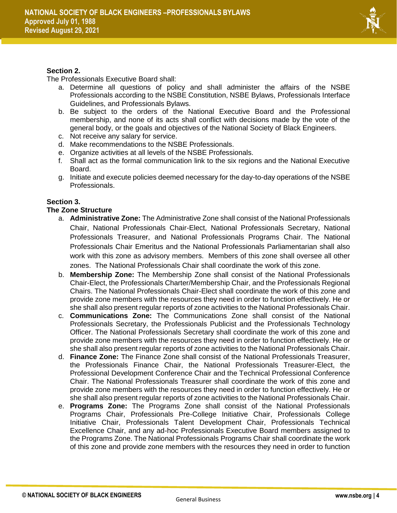

#### **Section 2.**

The Professionals Executive Board shall:

- a. Determine all questions of policy and shall administer the affairs of the NSBE Professionals according to the NSBE Constitution, NSBE Bylaws, Professionals Interface Guidelines, and Professionals Bylaws.
- b. Be subject to the orders of the National Executive Board and the Professional membership, and none of its acts shall conflict with decisions made by the vote of the general body, or the goals and objectives of the National Society of Black Engineers.
- c. Not receive any salary for service.
- d. Make recommendations to the NSBE Professionals.
- e. Organize activities at all levels of the NSBE Professionals.
- f. Shall act as the formal communication link to the six regions and the National Executive Board.
- g. Initiate and execute policies deemed necessary for the day-to-day operations of the NSBE Professionals.

#### **Section 3.**

#### **The Zone Structure**

- a. **Administrative Zone:** The Administrative Zone shall consist of the National Professionals Chair, National Professionals Chair-Elect, National Professionals Secretary, National Professionals Treasurer, and National Professionals Programs Chair. The National Professionals Chair Emeritus and the National Professionals Parliamentarian shall also work with this zone as advisory members. Members of this zone shall oversee all other zones. The National Professionals Chair shall coordinate the work of this zone.
- b. **Membership Zone:** The Membership Zone shall consist of the National Professionals Chair-Elect, the Professionals Charter/Membership Chair, and the Professionals Regional Chairs. The National Professionals Chair-Elect shall coordinate the work of this zone and provide zone members with the resources they need in order to function effectively. He or she shall also present regular reports of zone activities to the National Professionals Chair.
- c. **Communications Zone:** The Communications Zone shall consist of the National Professionals Secretary, the Professionals Publicist and the Professionals Technology Officer. The National Professionals Secretary shall coordinate the work of this zone and provide zone members with the resources they need in order to function effectively. He or she shall also present regular reports of zone activities to the National Professionals Chair.
- d. **Finance Zone:** The Finance Zone shall consist of the National Professionals Treasurer, the Professionals Finance Chair, the National Professionals Treasurer-Elect, the Professional Development Conference Chair and the Technical Professional Conference Chair. The National Professionals Treasurer shall coordinate the work of this zone and provide zone members with the resources they need in order to function effectively. He or she shall also present regular reports of zone activities to the National Professionals Chair.
- e. **Programs Zone:** The Programs Zone shall consist of the National Professionals Programs Chair, Professionals Pre-College Initiative Chair, Professionals College Initiative Chair, Professionals Talent Development Chair, Professionals Technical Excellence Chair, and any ad-hoc Professionals Executive Board members assigned to the Programs Zone. The National Professionals Programs Chair shall coordinate the work of this zone and provide zone members with the resources they need in order to function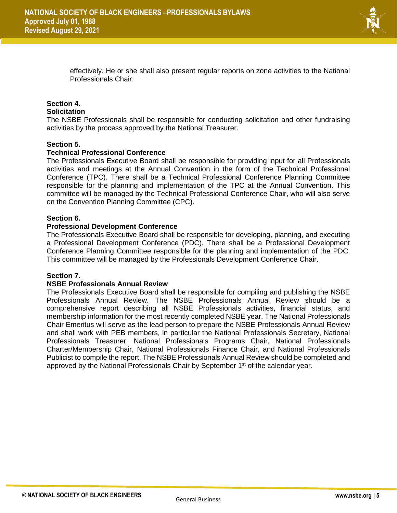

effectively. He or she shall also present regular reports on zone activities to the National Professionals Chair.

#### **Section 4. Solicitation**

The NSBE Professionals shall be responsible for conducting solicitation and other fundraising activities by the process approved by the National Treasurer.

#### **Section 5.**

#### **Technical Professional Conference**

The Professionals Executive Board shall be responsible for providing input for all Professionals activities and meetings at the Annual Convention in the form of the Technical Professional Conference (TPC). There shall be a Technical Professional Conference Planning Committee responsible for the planning and implementation of the TPC at the Annual Convention. This committee will be managed by the Technical Professional Conference Chair, who will also serve on the Convention Planning Committee (CPC).

#### **Section 6.**

#### **Professional Development Conference**

The Professionals Executive Board shall be responsible for developing, planning, and executing a Professional Development Conference (PDC). There shall be a Professional Development Conference Planning Committee responsible for the planning and implementation of the PDC. This committee will be managed by the Professionals Development Conference Chair.

#### **Section 7.**

#### **NSBE Professionals Annual Review**

The Professionals Executive Board shall be responsible for compiling and publishing the NSBE Professionals Annual Review. The NSBE Professionals Annual Review should be a comprehensive report describing all NSBE Professionals activities, financial status, and membership information for the most recently completed NSBE year. The National Professionals Chair Emeritus will serve as the lead person to prepare the NSBE Professionals Annual Review and shall work with PEB members, in particular the National Professionals Secretary, National Professionals Treasurer, National Professionals Programs Chair, National Professionals Charter/Membership Chair, National Professionals Finance Chair, and National Professionals Publicist to compile the report. The NSBE Professionals Annual Review should be completed and approved by the National Professionals Chair by September 1<sup>st</sup> of the calendar year.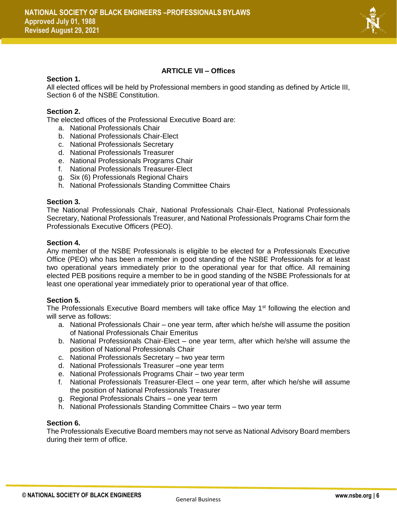

#### **ARTICLE VII – Offices**

#### **Section 1.**

All elected offices will be held by Professional members in good standing as defined by Article III, Section 6 of the NSBE Constitution.

#### **Section 2.**

The elected offices of the Professional Executive Board are:

- a. National Professionals Chair
- b. National Professionals Chair-Elect
- c. National Professionals Secretary
- d. National Professionals Treasurer
- e. National Professionals Programs Chair
- f. National Professionals Treasurer-Elect
- g. Six (6) Professionals Regional Chairs
- h. National Professionals Standing Committee Chairs

#### **Section 3.**

The National Professionals Chair, National Professionals Chair-Elect, National Professionals Secretary, National Professionals Treasurer, and National Professionals Programs Chair form the Professionals Executive Officers (PEO).

#### **Section 4.**

Any member of the NSBE Professionals is eligible to be elected for a Professionals Executive Office (PEO) who has been a member in good standing of the NSBE Professionals for at least two operational years immediately prior to the operational year for that office. All remaining elected PEB positions require a member to be in good standing of the NSBE Professionals for at least one operational year immediately prior to operational year of that office.

#### **Section 5.**

The Professionals Executive Board members will take office May  $1<sup>st</sup>$  following the election and will serve as follows:

- a. National Professionals Chair one year term, after which he/she will assume the position of National Professionals Chair Emeritus
- b. National Professionals Chair-Elect one year term, after which he/she will assume the position of National Professionals Chair
- c. National Professionals Secretary two year term
- d. National Professionals Treasurer –one year term
- e. National Professionals Programs Chair two year term
- f. National Professionals Treasurer-Elect one year term, after which he/she will assume the position of National Professionals Treasurer
- g. Regional Professionals Chairs one year term
- h. National Professionals Standing Committee Chairs two year term

#### **Section 6.**

The Professionals Executive Board members may not serve as National Advisory Board members during their term of office.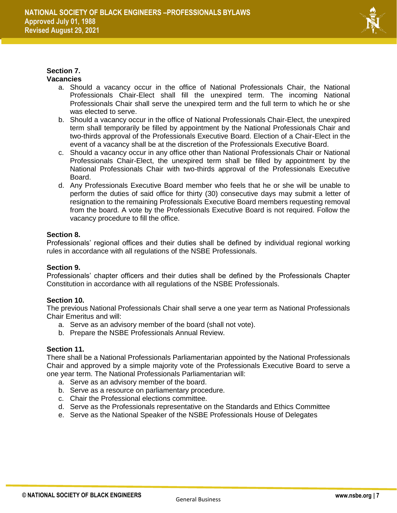

#### **Section 7. Vacancies**

- a. Should a vacancy occur in the office of National Professionals Chair, the National Professionals Chair-Elect shall fill the unexpired term. The incoming National Professionals Chair shall serve the unexpired term and the full term to which he or she was elected to serve.
- b. Should a vacancy occur in the office of National Professionals Chair-Elect, the unexpired term shall temporarily be filled by appointment by the National Professionals Chair and two-thirds approval of the Professionals Executive Board. Election of a Chair-Elect in the event of a vacancy shall be at the discretion of the Professionals Executive Board.
- c. Should a vacancy occur in any office other than National Professionals Chair or National Professionals Chair-Elect, the unexpired term shall be filled by appointment by the National Professionals Chair with two-thirds approval of the Professionals Executive Board.
- d. Any Professionals Executive Board member who feels that he or she will be unable to perform the duties of said office for thirty (30) consecutive days may submit a letter of resignation to the remaining Professionals Executive Board members requesting removal from the board. A vote by the Professionals Executive Board is not required. Follow the vacancy procedure to fill the office.

#### **Section 8.**

Professionals' regional offices and their duties shall be defined by individual regional working rules in accordance with all regulations of the NSBE Professionals.

#### **Section 9.**

Professionals' chapter officers and their duties shall be defined by the Professionals Chapter Constitution in accordance with all regulations of the NSBE Professionals.

#### **Section 10.**

The previous National Professionals Chair shall serve a one year term as National Professionals Chair Emeritus and will:

- a. Serve as an advisory member of the board (shall not vote).
- b. Prepare the NSBE Professionals Annual Review.

#### **Section 11.**

There shall be a National Professionals Parliamentarian appointed by the National Professionals Chair and approved by a simple majority vote of the Professionals Executive Board to serve a one year term. The National Professionals Parliamentarian will:

- a. Serve as an advisory member of the board.
- b. Serve as a resource on parliamentary procedure.
- c. Chair the Professional elections committee.
- d. Serve as the Professionals representative on the Standards and Ethics Committee
- e. Serve as the National Speaker of the NSBE Professionals House of Delegates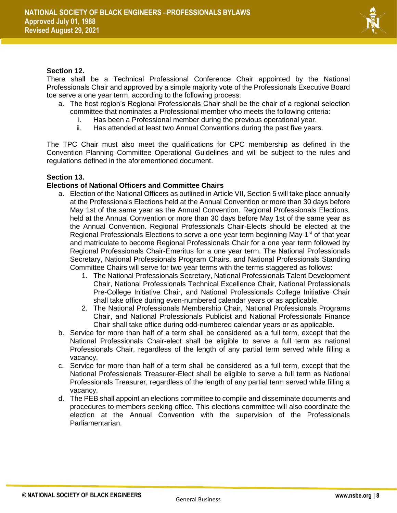

#### **Section 12.**

There shall be a Technical Professional Conference Chair appointed by the National Professionals Chair and approved by a simple majority vote of the Professionals Executive Board toe serve a one year term, according to the following process:

- a. The host region's Regional Professionals Chair shall be the chair of a regional selection committee that nominates a Professional member who meets the following criteria:
	- i. Has been a Professional member during the previous operational year.
	- ii. Has attended at least two Annual Conventions during the past five years.

The TPC Chair must also meet the qualifications for CPC membership as defined in the Convention Planning Committee Operational Guidelines and will be subject to the rules and regulations defined in the aforementioned document.

#### **Section 13.**

#### **Elections of National Officers and Committee Chairs**

- a. Election of the National Officers as outlined in Article VII, Section 5 will take place annually at the Professionals Elections held at the Annual Convention or more than 30 days before May 1st of the same year as the Annual Convention. Regional Professionals Elections, held at the Annual Convention or more than 30 days before May 1st of the same year as the Annual Convention. Regional Professionals Chair-Elects should be elected at the Regional Professionals Elections to serve a one year term beginning May 1<sup>st</sup> of that year and matriculate to become Regional Professionals Chair for a one year term followed by Regional Professionals Chair-Emeritus for a one year term. The National Professionals Secretary, National Professionals Program Chairs, and National Professionals Standing Committee Chairs will serve for two year terms with the terms staggered as follows:
	- 1. The National Professionals Secretary, National Professionals Talent Development Chair, National Professionals Technical Excellence Chair, National Professionals Pre-College Initiative Chair, and National Professionals College Initiative Chair shall take office during even-numbered calendar years or as applicable.
	- 2. The National Professionals Membership Chair, National Professionals Programs Chair, and National Professionals Publicist and National Professionals Finance Chair shall take office during odd-numbered calendar years or as applicable.
- b. Service for more than half of a term shall be considered as a full term, except that the National Professionals Chair-elect shall be eligible to serve a full term as national Professionals Chair, regardless of the length of any partial term served while filling a vacancy.
- c. Service for more than half of a term shall be considered as a full term, except that the National Professionals Treasurer-Elect shall be eligible to serve a full term as National Professionals Treasurer, regardless of the length of any partial term served while filling a vacancy.
- d. The PEB shall appoint an elections committee to compile and disseminate documents and procedures to members seeking office. This elections committee will also coordinate the election at the Annual Convention with the supervision of the Professionals Parliamentarian.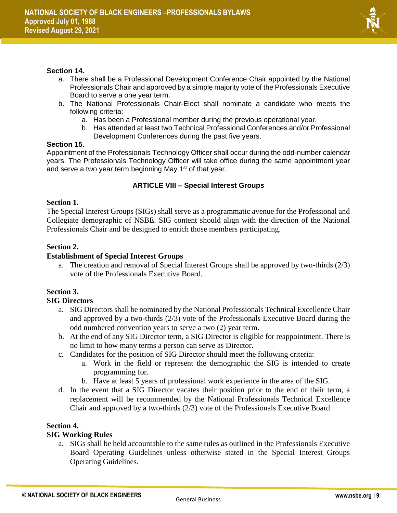

#### **Section 14.**

- a. There shall be a Professional Development Conference Chair appointed by the National Professionals Chair and approved by a simple majority vote of the Professionals Executive Board to serve a one year term.
- b. The National Professionals Chair-Elect shall nominate a candidate who meets the following criteria:
	- a. Has been a Professional member during the previous operational year.
	- b. Has attended at least two Technical Professional Conferences and/or Professional Development Conferences during the past five years.

#### **Section 15.**

Appointment of the Professionals Technology Officer shall occur during the odd-number calendar years. The Professionals Technology Officer will take office during the same appointment year and serve a two year term beginning May 1<sup>st</sup> of that year.

#### **ARTICLE VIII – Special Interest Groups**

#### **Section 1.**

The Special Interest Groups (SIGs) shall serve as a programmatic avenue for the Professional and Collegiate demographic of NSBE. SIG content should align with the direction of the National Professionals Chair and be designed to enrich those members participating.

#### **Section 2.**

#### **Establishment of Special Interest Groups**

a. The creation and removal of Special Interest Groups shall be approved by two-thirds (2/3) vote of the Professionals Executive Board.

### **Section 3.**

#### **SIG Directors**

- a. SIG Directors shall be nominated by the National Professionals Technical Excellence Chair and approved by a two-thirds (2/3) vote of the Professionals Executive Board during the odd numbered convention years to serve a two (2) year term.
- b. At the end of any SIG Director term, a SIG Director is eligible for reappointment. There is no limit to how many terms a person can serve as Director.
- c. Candidates for the position of SIG Director should meet the following criteria:
	- a. Work in the field or represent the demographic the SIG is intended to create programming for.
	- b. Have at least 5 years of professional work experience in the area of the SIG.
- d. In the event that a SIG Director vacates their position prior to the end of their term, a replacement will be recommended by the National Professionals Technical Excellence Chair and approved by a two-thirds (2/3) vote of the Professionals Executive Board.

#### **Section 4.**

#### **SIG Working Rules**

a. SIGs shall be held accountable to the same rules as outlined in the Professionals Executive Board Operating Guidelines unless otherwise stated in the Special Interest Groups Operating Guidelines.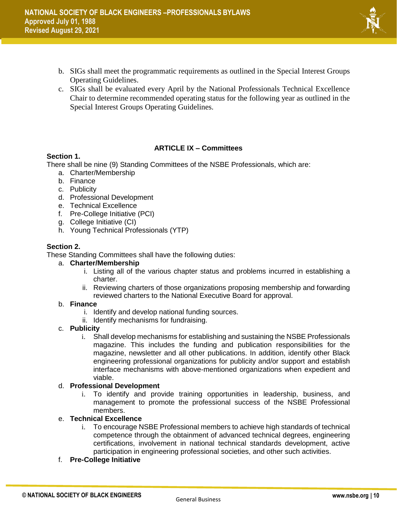- 
- b. SIGs shall meet the programmatic requirements as outlined in the Special Interest Groups Operating Guidelines.
- c. SIGs shall be evaluated every April by the National Professionals Technical Excellence Chair to determine recommended operating status for the following year as outlined in the Special Interest Groups Operating Guidelines.

#### **ARTICLE IX – Committees**

#### **Section 1.**

There shall be nine (9) Standing Committees of the NSBE Professionals, which are:

- a. Charter/Membership
- b. Finance
- c. Publicity
- d. Professional Development
- e. Technical Excellence
- f. Pre-College Initiative (PCI)
- g. College Initiative (CI)
- h. Young Technical Professionals (YTP)

#### **Section 2.**

These Standing Committees shall have the following duties:

#### a. **Charter/Membership**

- i. Listing all of the various chapter status and problems incurred in establishing a charter.
- ii. Reviewing charters of those organizations proposing membership and forwarding reviewed charters to the National Executive Board for approval.

#### b. **Finance**

- i. Identify and develop national funding sources.
- ii. Identify mechanisms for fundraising.
- c. **Publicity**
	- i. Shall develop mechanisms for establishing and sustaining the NSBE Professionals magazine. This includes the funding and publication responsibilities for the magazine, newsletter and all other publications. In addition, identify other Black engineering professional organizations for publicity and/or support and establish interface mechanisms with above-mentioned organizations when expedient and viable.

#### d. **Professional Development**

i. To identify and provide training opportunities in leadership, business, and management to promote the professional success of the NSBE Professional members.

#### e. **Technical Excellence**

- i. To encourage NSBE Professional members to achieve high standards of technical competence through the obtainment of advanced technical degrees, engineering certifications, involvement in national technical standards development, active participation in engineering professional societies, and other such activities.
- f. **Pre-College Initiative**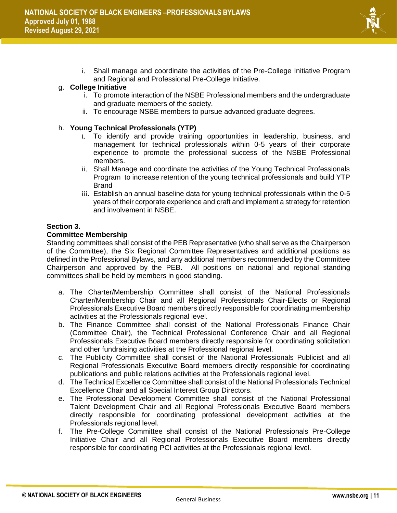

i. Shall manage and coordinate the activities of the Pre-College Initiative Program and Regional and Professional Pre-College Initiative.

#### g. **College Initiative**

- i. To promote interaction of the NSBE Professional members and the undergraduate and graduate members of the society.
- ii. To encourage NSBE members to pursue advanced graduate degrees.

#### h. **Young Technical Professionals (YTP)**

- i. To identify and provide training opportunities in leadership, business, and management for technical professionals within 0-5 years of their corporate experience to promote the professional success of the NSBE Professional members.
- ii. Shall Manage and coordinate the activities of the Young Technical Professionals Program to increase retention of the young technical professionals and build YTP Brand
- iii. Establish an annual baseline data for young technical professionals within the 0-5 years of their corporate experience and craft and implement a strategy for retention and involvement in NSBE.

#### **Section 3.**

#### **Committee Membership**

Standing committees shall consist of the PEB Representative (who shall serve as the Chairperson of the Committee), the Six Regional Committee Representatives and additional positions as defined in the Professional Bylaws, and any additional members recommended by the Committee Chairperson and approved by the PEB. All positions on national and regional standing committees shall be held by members in good standing.

- a. The Charter/Membership Committee shall consist of the National Professionals Charter/Membership Chair and all Regional Professionals Chair-Elects or Regional Professionals Executive Board members directly responsible for coordinating membership activities at the Professionals regional level.
- b. The Finance Committee shall consist of the National Professionals Finance Chair (Committee Chair), the Technical Professional Conference Chair and all Regional Professionals Executive Board members directly responsible for coordinating solicitation and other fundraising activities at the Professional regional level.
- c. The Publicity Committee shall consist of the National Professionals Publicist and all Regional Professionals Executive Board members directly responsible for coordinating publications and public relations activities at the Professionals regional level.
- d. The Technical Excellence Committee shall consist of the National Professionals Technical Excellence Chair and all Special Interest Group Directors.
- e. The Professional Development Committee shall consist of the National Professional Talent Development Chair and all Regional Professionals Executive Board members directly responsible for coordinating professional development activities at the Professionals regional level.
- f. The Pre-College Committee shall consist of the National Professionals Pre-College Initiative Chair and all Regional Professionals Executive Board members directly responsible for coordinating PCI activities at the Professionals regional level.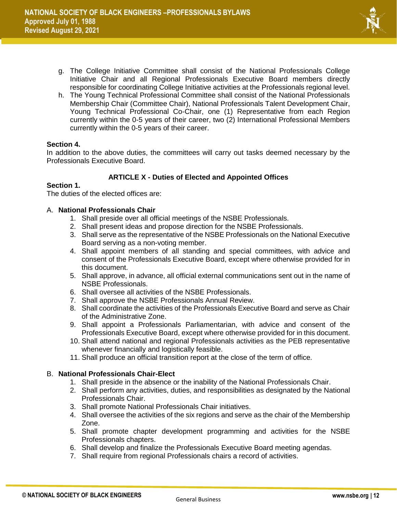

- g. The College Initiative Committee shall consist of the National Professionals College Initiative Chair and all Regional Professionals Executive Board members directly responsible for coordinating College Initiative activities at the Professionals regional level.
- h. The Young Technical Professional Committee shall consist of the National Professionals Membership Chair (Committee Chair), National Professionals Talent Development Chair, Young Technical Professional Co-Chair, one (1) Representative from each Region currently within the 0-5 years of their career, two (2) International Professional Members currently within the 0-5 years of their career.

#### **Section 4.**

In addition to the above duties, the committees will carry out tasks deemed necessary by the Professionals Executive Board.

#### **ARTICLE X - Duties of Elected and Appointed Offices**

#### **Section 1.**

The duties of the elected offices are:

#### A. **National Professionals Chair**

- 1. Shall preside over all official meetings of the NSBE Professionals.
- 2. Shall present ideas and propose direction for the NSBE Professionals.
- 3. Shall serve as the representative of the NSBE Professionals on the National Executive Board serving as a non-voting member.
- 4. Shall appoint members of all standing and special committees, with advice and consent of the Professionals Executive Board, except where otherwise provided for in this document.
- 5. Shall approve, in advance, all official external communications sent out in the name of NSBE Professionals.
- 6. Shall oversee all activities of the NSBE Professionals.
- 7. Shall approve the NSBE Professionals Annual Review.
- 8. Shall coordinate the activities of the Professionals Executive Board and serve as Chair of the Administrative Zone.
- 9. Shall appoint a Professionals Parliamentarian, with advice and consent of the Professionals Executive Board, except where otherwise provided for in this document.
- 10. Shall attend national and regional Professionals activities as the PEB representative whenever financially and logistically feasible.
- 11. Shall produce an official transition report at the close of the term of office.

#### B. **National Professionals Chair-Elect**

- 1. Shall preside in the absence or the inability of the National Professionals Chair.
- 2. Shall perform any activities, duties, and responsibilities as designated by the National Professionals Chair.
- 3. Shall promote National Professionals Chair initiatives.
- 4. Shall oversee the activities of the six regions and serve as the chair of the Membership Zone.
- 5. Shall promote chapter development programming and activities for the NSBE Professionals chapters.
- 6. Shall develop and finalize the Professionals Executive Board meeting agendas.
- 7. Shall require from regional Professionals chairs a record of activities.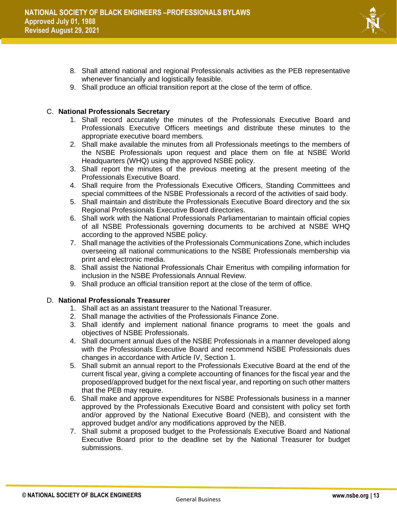

- 8. Shall attend national and regional Professionals activities as the PEB representative whenever financially and logistically feasible.
- 9. Shall produce an official transition report at the close of the term of office.

#### C. **National Professionals Secretary**

- 1. Shall record accurately the minutes of the Professionals Executive Board and Professionals Executive Officers meetings and distribute these minutes to the appropriate executive board members.
- 2. Shall make available the minutes from all Professionals meetings to the members of the NSBE Professionals upon request and place them on file at NSBE World Headquarters (WHQ) using the approved NSBE policy.
- 3. Shall report the minutes of the previous meeting at the present meeting of the Professionals Executive Board.
- 4. Shall require from the Professionals Executive Officers, Standing Committees and special committees of the NSBE Professionals a record of the activities of said body.
- 5. Shall maintain and distribute the Professionals Executive Board directory and the six Regional Professionals Executive Board directories.
- 6. Shall work with the National Professionals Parliamentarian to maintain official copies of all NSBE Professionals governing documents to be archived at NSBE WHQ according to the approved NSBE policy.
- 7. Shall manage the activities of the Professionals Communications Zone, which includes overseeing all national communications to the NSBE Professionals membership via print and electronic media.
- 8. Shall assist the National Professionals Chair Emeritus with compiling information for inclusion in the NSBE Professionals Annual Review.
- 9. Shall produce an official transition report at the close of the term of office.

#### D. **National Professionals Treasurer**

- 1. Shall act as an assistant treasurer to the National Treasurer.
- 2. Shall manage the activities of the Professionals Finance Zone.
- 3. Shall identify and implement national finance programs to meet the goals and objectives of NSBE Professionals.
- 4. Shall document annual dues of the NSBE Professionals in a manner developed along with the Professionals Executive Board and recommend NSBE Professionals dues changes in accordance with Article IV, Section 1.
- 5. Shall submit an annual report to the Professionals Executive Board at the end of the current fiscal year, giving a complete accounting of finances for the fiscal year and the proposed/approved budget for the next fiscal year, and reporting on such other matters that the PEB may require.
- 6. Shall make and approve expenditures for NSBE Professionals business in a manner approved by the Professionals Executive Board and consistent with policy set forth and/or approved by the National Executive Board (NEB), and consistent with the approved budget and/or any modifications approved by the NEB.
- 7. Shall submit a proposed budget to the Professionals Executive Board and National Executive Board prior to the deadline set by the National Treasurer for budget submissions.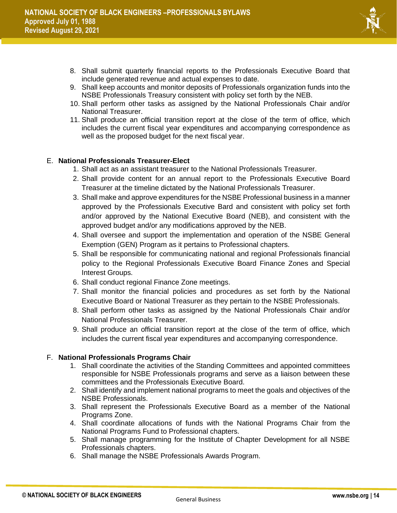

- 8. Shall submit quarterly financial reports to the Professionals Executive Board that include generated revenue and actual expenses to date.
- 9. Shall keep accounts and monitor deposits of Professionals organization funds into the NSBE Professionals Treasury consistent with policy set forth by the NEB.
- 10. Shall perform other tasks as assigned by the National Professionals Chair and/or National Treasurer.
- 11. Shall produce an official transition report at the close of the term of office, which includes the current fiscal year expenditures and accompanying correspondence as well as the proposed budget for the next fiscal year.

#### E. **National Professionals Treasurer-Elect**

1. Shall act as an assistant treasurer to the National Professionals Treasurer.

- 2. Shall provide content for an annual report to the Professionals Executive Board Treasurer at the timeline dictated by the National Professionals Treasurer.
- 3. Shall make and approve expenditures for the NSBE Professional business in a manner approved by the Professionals Executive Bard and consistent with policy set forth and/or approved by the National Executive Board (NEB), and consistent with the approved budget and/or any modifications approved by the NEB.
- 4. Shall oversee and support the implementation and operation of the NSBE General Exemption (GEN) Program as it pertains to Professional chapters.
- 5. Shall be responsible for communicating national and regional Professionals financial policy to the Regional Professionals Executive Board Finance Zones and Special Interest Groups.
- 6. Shall conduct regional Finance Zone meetings.
- 7. Shall monitor the financial policies and procedures as set forth by the National Executive Board or National Treasurer as they pertain to the NSBE Professionals.
- 8. Shall perform other tasks as assigned by the National Professionals Chair and/or National Professionals Treasurer.
- 9. Shall produce an official transition report at the close of the term of office, which includes the current fiscal year expenditures and accompanying correspondence.

#### F. **National Professionals Programs Chair**

- 1. Shall coordinate the activities of the Standing Committees and appointed committees responsible for NSBE Professionals programs and serve as a liaison between these committees and the Professionals Executive Board.
- 2. Shall identify and implement national programs to meet the goals and objectives of the NSBE Professionals.
- 3. Shall represent the Professionals Executive Board as a member of the National Programs Zone.
- 4. Shall coordinate allocations of funds with the National Programs Chair from the National Programs Fund to Professional chapters.
- 5. Shall manage programming for the Institute of Chapter Development for all NSBE Professionals chapters.
- 6. Shall manage the NSBE Professionals Awards Program.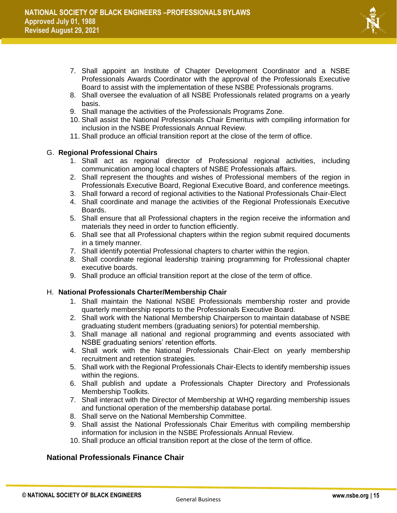

- 7. Shall appoint an Institute of Chapter Development Coordinator and a NSBE Professionals Awards Coordinator with the approval of the Professionals Executive Board to assist with the implementation of these NSBE Professionals programs.
- 8. Shall oversee the evaluation of all NSBE Professionals related programs on a yearly basis.
- 9. Shall manage the activities of the Professionals Programs Zone.
- 10. Shall assist the National Professionals Chair Emeritus with compiling information for inclusion in the NSBE Professionals Annual Review.
- 11. Shall produce an official transition report at the close of the term of office.

#### G. **Regional Professional Chairs**

- 1. Shall act as regional director of Professional regional activities, including communication among local chapters of NSBE Professionals affairs.
- 2. Shall represent the thoughts and wishes of Professional members of the region in Professionals Executive Board, Regional Executive Board, and conference meetings.
- 3. Shall forward a record of regional activities to the National Professionals Chair-Elect
- 4. Shall coordinate and manage the activities of the Regional Professionals Executive Boards.
- 5. Shall ensure that all Professional chapters in the region receive the information and materials they need in order to function efficiently.
- 6. Shall see that all Professional chapters within the region submit required documents in a timely manner.
- 7. Shall identify potential Professional chapters to charter within the region.
- 8. Shall coordinate regional leadership training programming for Professional chapter executive boards.
- 9. Shall produce an official transition report at the close of the term of office.

#### H. **National Professionals Charter/Membership Chair**

- 1. Shall maintain the National NSBE Professionals membership roster and provide quarterly membership reports to the Professionals Executive Board.
- 2. Shall work with the National Membership Chairperson to maintain database of NSBE graduating student members (graduating seniors) for potential membership.
- 3. Shall manage all national and regional programming and events associated with NSBE graduating seniors' retention efforts.
- 4. Shall work with the National Professionals Chair-Elect on yearly membership recruitment and retention strategies.
- 5. Shall work with the Regional Professionals Chair-Elects to identify membership issues within the regions.
- 6. Shall publish and update a Professionals Chapter Directory and Professionals Membership Toolkits.
- 7. Shall interact with the Director of Membership at WHQ regarding membership issues and functional operation of the membership database portal.
- 8. Shall serve on the National Membership Committee.
- 9. Shall assist the National Professionals Chair Emeritus with compiling membership information for inclusion in the NSBE Professionals Annual Review.
- 10. Shall produce an official transition report at the close of the term of office.

#### **National Professionals Finance Chair**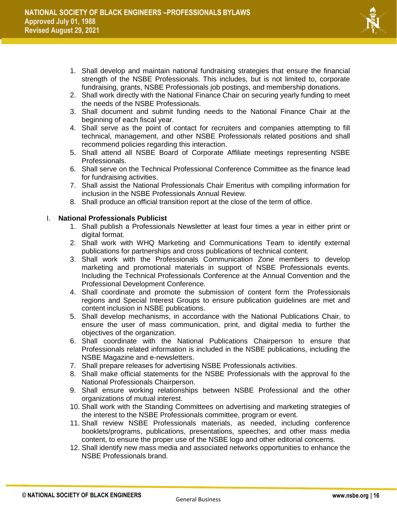

- 1. Shall develop and maintain national fundraising strategies that ensure the financial strength of the NSBE Professionals. This includes, but is not limited to, corporate fundraising, grants, NSBE Professionals job postings, and membership donations.
- 2. Shall work directly with the National Finance Chair on securing yearly funding to meet the needs of the NSBE Professionals.
- 3. Shall document and submit funding needs to the National Finance Chair at the beginning of each fiscal year.
- 4. Shall serve as the point of contact for recruiters and companies attempting to fill technical, management, and other NSBE Professionals related positions and shall recommend policies regarding this interaction.
- 5. Shall attend all NSBE Board of Corporate Affiliate meetings representing NSBE Professionals.
- 6. Shall serve on the Technical Professional Conference Committee as the finance lead for fundraising activities.
- 7. Shall assist the National Professionals Chair Emeritus with compiling information for inclusion in the NSBE Professionals Annual Review.
- 8. Shall produce an official transition report at the close of the term of office.

#### I. **National Professionals Publicist**

- 1. Shall publish a Professionals Newsletter at least four times a year in either print or digital format.
- 2. Shall work with WHQ Marketing and Communications Team to identify external publications for partnerships and cross publications of technical content.
- 3. Shall work with the Professionals Communication Zone members to develop marketing and promotional materials in support of NSBE Professionals events. Including the Technical Professionals Conference at the Annual Convention and the Professional Development Conference.
- 4. Shall coordinate and promote the submission of content form the Professionals regions and Special Interest Groups to ensure publication guidelines are met and content inclusion in NSBE publications.
- 5. Shall develop mechanisms, in accordance with the National Publications Chair, to ensure the user of mass communication, print, and digital media to further the objectives of the organization.
- 6. Shall coordinate with the National Publications Chairperson to ensure that Professionals related information is included in the NSBE publications, including the NSBE Magazine and e-newsletters.
- 7. Shall prepare releases for advertising NSBE Professionals activities.
- 8. Shall make official statements for the NSBE Professionals with the approval fo the National Professionals Chairperson.
- 9. Shall ensure working relationships between NSBE Professional and the other organizations of mutual interest.
- 10. Shall work with the Standing Committees on advertising and marketing strategies of the interest to the NSBE Professionals committee, program or event.
- 11. Shall review NSBE Professionals materials, as needed, including conference booklets/programs, publications, presentations, speeches, and other mass media content, to ensure the proper use of the NSBE logo and other editorial concerns.
- 12. Shall identify new mass media and associated networks opportunities to enhance the NSBE Professionals brand.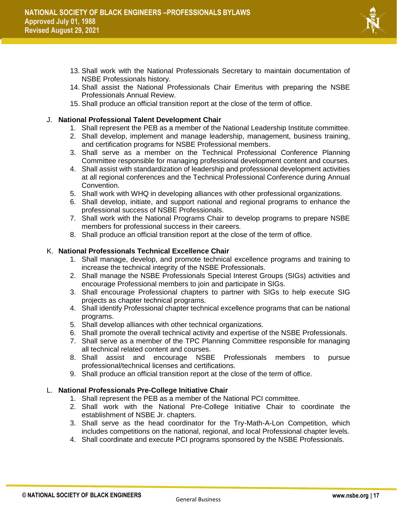

- 13. Shall work with the National Professionals Secretary to maintain documentation of NSBE Professionals history.
- 14. Shall assist the National Professionals Chair Emeritus with preparing the NSBE Professionals Annual Review.
- 15. Shall produce an official transition report at the close of the term of office.

#### J. **National Professional Talent Development Chair**

- 1. Shall represent the PEB as a member of the National Leadership Institute committee.
- 2. Shall develop, implement and manage leadership, management, business training, and certification programs for NSBE Professional members.
- 3. Shall serve as a member on the Technical Professional Conference Planning Committee responsible for managing professional development content and courses.
- 4. Shall assist with standardization of leadership and professional development activities at all regional conferences and the Technical Professional Conference during Annual Convention.
- 5. Shall work with WHQ in developing alliances with other professional organizations.
- 6. Shall develop, initiate, and support national and regional programs to enhance the professional success of NSBE Professionals.
- 7. Shall work with the National Programs Chair to develop programs to prepare NSBE members for professional success in their careers.
- 8. Shall produce an official transition report at the close of the term of office.

#### K. **National Professionals Technical Excellence Chair**

- 1. Shall manage, develop, and promote technical excellence programs and training to increase the technical integrity of the NSBE Professionals.
- 2. Shall manage the NSBE Professionals Special Interest Groups (SIGs) activities and encourage Professional members to join and participate in SIGs.
- 3. Shall encourage Professional chapters to partner with SIGs to help execute SIG projects as chapter technical programs.
- 4. Shall identify Professional chapter technical excellence programs that can be national programs.
- 5. Shall develop alliances with other technical organizations.
- 6. Shall promote the overall technical activity and expertise of the NSBE Professionals.
- 7. Shall serve as a member of the TPC Planning Committee responsible for managing all technical related content and courses.
- 8. Shall assist and encourage NSBE Professionals members to pursue professional/technical licenses and certifications.
- 9. Shall produce an official transition report at the close of the term of office.

#### L. **National Professionals Pre-College Initiative Chair**

- 1. Shall represent the PEB as a member of the National PCI committee.
- 2. Shall work with the National Pre-College Initiative Chair to coordinate the establishment of NSBE Jr. chapters.
- 3. Shall serve as the head coordinator for the Try-Math-A-Lon Competition, which includes competitions on the national, regional, and local Professional chapter levels.
- 4. Shall coordinate and execute PCI programs sponsored by the NSBE Professionals.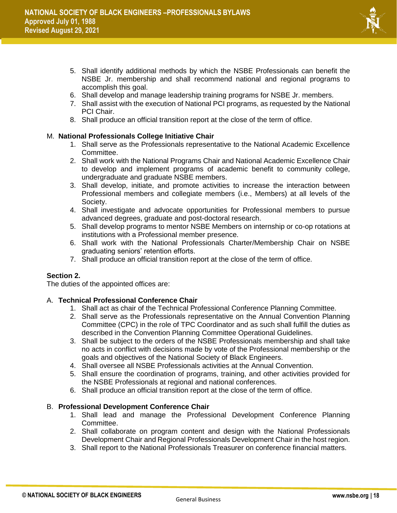

- 5. Shall identify additional methods by which the NSBE Professionals can benefit the NSBE Jr. membership and shall recommend national and regional programs to accomplish this goal.
- 6. Shall develop and manage leadership training programs for NSBE Jr. members.
- 7. Shall assist with the execution of National PCI programs, as requested by the National PCI Chair.
- 8. Shall produce an official transition report at the close of the term of office.

#### M. **National Professionals College Initiative Chair**

- 1. Shall serve as the Professionals representative to the National Academic Excellence Committee.
- 2. Shall work with the National Programs Chair and National Academic Excellence Chair to develop and implement programs of academic benefit to community college, undergraduate and graduate NSBE members.
- 3. Shall develop, initiate, and promote activities to increase the interaction between Professional members and collegiate members (i.e., Members) at all levels of the Society.
- 4. Shall investigate and advocate opportunities for Professional members to pursue advanced degrees, graduate and post-doctoral research.
- 5. Shall develop programs to mentor NSBE Members on internship or co-op rotations at institutions with a Professional member presence.
- 6. Shall work with the National Professionals Charter/Membership Chair on NSBE graduating seniors' retention efforts.
- 7. Shall produce an official transition report at the close of the term of office.

#### **Section 2.**

The duties of the appointed offices are:

#### A. **Technical Professional Conference Chair**

- 1. Shall act as chair of the Technical Professional Conference Planning Committee.
- 2. Shall serve as the Professionals representative on the Annual Convention Planning Committee (CPC) in the role of TPC Coordinator and as such shall fulfill the duties as described in the Convention Planning Committee Operational Guidelines.
- 3. Shall be subject to the orders of the NSBE Professionals membership and shall take no acts in conflict with decisions made by vote of the Professional membership or the goals and objectives of the National Society of Black Engineers.
- 4. Shall oversee all NSBE Professionals activities at the Annual Convention.
- 5. Shall ensure the coordination of programs, training, and other activities provided for the NSBE Professionals at regional and national conferences.
- 6. Shall produce an official transition report at the close of the term of office.

#### B. **Professional Development Conference Chair**

- 1. Shall lead and manage the Professional Development Conference Planning Committee.
- 2. Shall collaborate on program content and design with the National Professionals Development Chair and Regional Professionals Development Chair in the host region.
- 3. Shall report to the National Professionals Treasurer on conference financial matters.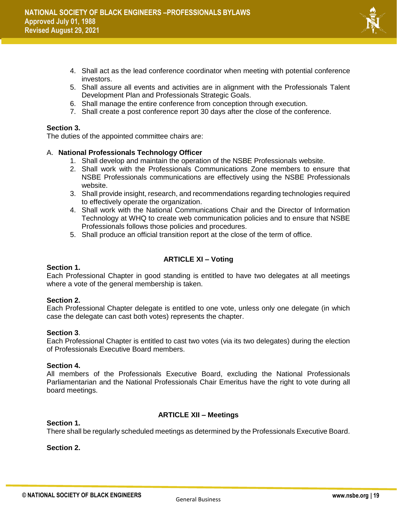

- 4. Shall act as the lead conference coordinator when meeting with potential conference investors.
- 5. Shall assure all events and activities are in alignment with the Professionals Talent Development Plan and Professionals Strategic Goals.
- 6. Shall manage the entire conference from conception through execution.
- 7. Shall create a post conference report 30 days after the close of the conference.

#### **Section 3.**

The duties of the appointed committee chairs are:

#### A. **National Professionals Technology Officer**

- 1. Shall develop and maintain the operation of the NSBE Professionals website.
- 2. Shall work with the Professionals Communications Zone members to ensure that NSBE Professionals communications are effectively using the NSBE Professionals website.
- 3. Shall provide insight, research, and recommendations regarding technologies required to effectively operate the organization.
- 4. Shall work with the National Communications Chair and the Director of Information Technology at WHQ to create web communication policies and to ensure that NSBE Professionals follows those policies and procedures.
- 5. Shall produce an official transition report at the close of the term of office.

#### **ARTICLE XI – Voting**

#### **Section 1.**

Each Professional Chapter in good standing is entitled to have two delegates at all meetings where a vote of the general membership is taken.

#### **Section 2.**

Each Professional Chapter delegate is entitled to one vote, unless only one delegate (in which case the delegate can cast both votes) represents the chapter.

#### **Section 3**.

Each Professional Chapter is entitled to cast two votes (via its two delegates) during the election of Professionals Executive Board members.

#### **Section 4.**

All members of the Professionals Executive Board, excluding the National Professionals Parliamentarian and the National Professionals Chair Emeritus have the right to vote during all board meetings.

#### **ARTICLE XII – Meetings**

#### **Section 1.** There shall be regularly scheduled meetings as determined by the Professionals Executive Board.

#### **Section 2.**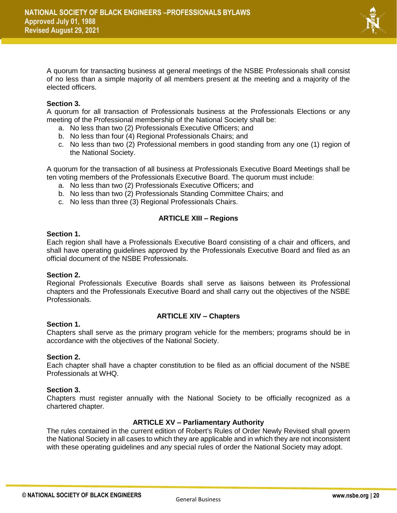

A quorum for transacting business at general meetings of the NSBE Professionals shall consist of no less than a simple majority of all members present at the meeting and a majority of the elected officers.

#### **Section 3.**

A quorum for all transaction of Professionals business at the Professionals Elections or any meeting of the Professional membership of the National Society shall be:

- a. No less than two (2) Professionals Executive Officers; and
- b. No less than four (4) Regional Professionals Chairs; and
- c. No less than two (2) Professional members in good standing from any one (1) region of the National Society.

A quorum for the transaction of all business at Professionals Executive Board Meetings shall be ten voting members of the Professionals Executive Board. The quorum must include:

- a. No less than two (2) Professionals Executive Officers; and
- b. No less than two (2) Professionals Standing Committee Chairs; and
- c. No less than three (3) Regional Professionals Chairs.

#### **ARTICLE XIII – Regions**

#### **Section 1.**

Each region shall have a Professionals Executive Board consisting of a chair and officers, and shall have operating guidelines approved by the Professionals Executive Board and filed as an official document of the NSBE Professionals.

#### **Section 2.**

Regional Professionals Executive Boards shall serve as liaisons between its Professional chapters and the Professionals Executive Board and shall carry out the objectives of the NSBE Professionals.

#### **ARTICLE XIV – Chapters**

#### **Section 1.**

Chapters shall serve as the primary program vehicle for the members; programs should be in accordance with the objectives of the National Society.

#### **Section 2.**

Each chapter shall have a chapter constitution to be filed as an official document of the NSBE Professionals at WHQ.

#### **Section 3.**

Chapters must register annually with the National Society to be officially recognized as a chartered chapter.

#### **ARTICLE XV – Parliamentary Authority**

The rules contained in the current edition of Robert's Rules of Order Newly Revised shall govern the National Society in all cases to which they are applicable and in which they are not inconsistent with these operating guidelines and any special rules of order the National Society may adopt.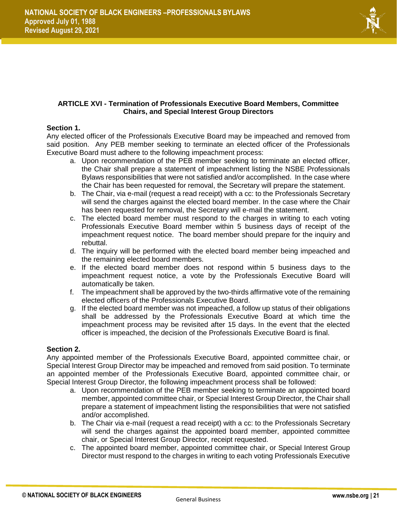

#### **ARTICLE XVI - Termination of Professionals Executive Board Members, Committee Chairs, and Special Interest Group Directors**

#### **Section 1.**

Any elected officer of the Professionals Executive Board may be impeached and removed from said position. Any PEB member seeking to terminate an elected officer of the Professionals Executive Board must adhere to the following impeachment process:

- a. Upon recommendation of the PEB member seeking to terminate an elected officer, the Chair shall prepare a statement of impeachment listing the NSBE Professionals Bylaws responsibilities that were not satisfied and/or accomplished. In the case where the Chair has been requested for removal, the Secretary will prepare the statement.
- b. The Chair, via e-mail (request a read receipt) with a cc: to the Professionals Secretary will send the charges against the elected board member. In the case where the Chair has been requested for removal, the Secretary will e-mail the statement.
- c. The elected board member must respond to the charges in writing to each voting Professionals Executive Board member within 5 business days of receipt of the impeachment request notice. The board member should prepare for the inquiry and rebuttal.
- d. The inquiry will be performed with the elected board member being impeached and the remaining elected board members.
- e. If the elected board member does not respond within 5 business days to the impeachment request notice, a vote by the Professionals Executive Board will automatically be taken.
- f. The impeachment shall be approved by the two-thirds affirmative vote of the remaining elected officers of the Professionals Executive Board.
- g. If the elected board member was not impeached, a follow up status of their obligations shall be addressed by the Professionals Executive Board at which time the impeachment process may be revisited after 15 days. In the event that the elected officer is impeached, the decision of the Professionals Executive Board is final.

#### **Section 2.**

Any appointed member of the Professionals Executive Board, appointed committee chair, or Special Interest Group Director may be impeached and removed from said position. To terminate an appointed member of the Professionals Executive Board, appointed committee chair, or Special Interest Group Director, the following impeachment process shall be followed:

- a. Upon recommendation of the PEB member seeking to terminate an appointed board member, appointed committee chair, or Special Interest Group Director, the Chair shall prepare a statement of impeachment listing the responsibilities that were not satisfied and/or accomplished.
- b. The Chair via e-mail (request a read receipt) with a cc: to the Professionals Secretary will send the charges against the appointed board member, appointed committee chair, or Special Interest Group Director, receipt requested.
- c. The appointed board member, appointed committee chair, or Special Interest Group Director must respond to the charges in writing to each voting Professionals Executive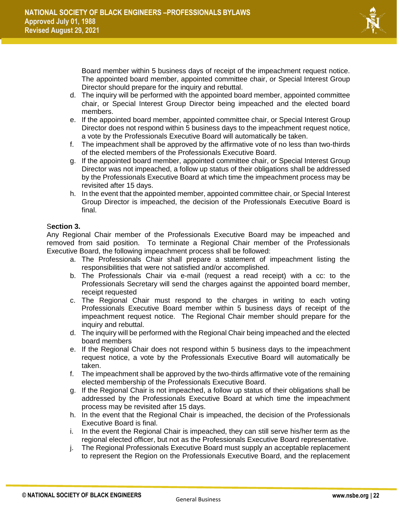

Board member within 5 business days of receipt of the impeachment request notice. The appointed board member, appointed committee chair, or Special Interest Group Director should prepare for the inquiry and rebuttal.

- d. The inquiry will be performed with the appointed board member, appointed committee chair, or Special Interest Group Director being impeached and the elected board members.
- e. If the appointed board member, appointed committee chair, or Special Interest Group Director does not respond within 5 business days to the impeachment request notice, a vote by the Professionals Executive Board will automatically be taken.
- f. The impeachment shall be approved by the affirmative vote of no less than two-thirds of the elected members of the Professionals Executive Board.
- g. If the appointed board member, appointed committee chair, or Special Interest Group Director was not impeached, a follow up status of their obligations shall be addressed by the Professionals Executive Board at which time the impeachment process may be revisited after 15 days.
- h. In the event that the appointed member, appointed committee chair, or Special Interest Group Director is impeached, the decision of the Professionals Executive Board is final.

#### S**ection 3.**

Any Regional Chair member of the Professionals Executive Board may be impeached and removed from said position. To terminate a Regional Chair member of the Professionals Executive Board, the following impeachment process shall be followed:

- a. The Professionals Chair shall prepare a statement of impeachment listing the responsibilities that were not satisfied and/or accomplished.
- b. The Professionals Chair via e-mail (request a read receipt) with a cc: to the Professionals Secretary will send the charges against the appointed board member, receipt requested
- c. The Regional Chair must respond to the charges in writing to each voting Professionals Executive Board member within 5 business days of receipt of the impeachment request notice. The Regional Chair member should prepare for the inquiry and rebuttal.
- d. The inquiry will be performed with the Regional Chair being impeached and the elected board members
- e. If the Regional Chair does not respond within 5 business days to the impeachment request notice, a vote by the Professionals Executive Board will automatically be taken.
- f. The impeachment shall be approved by the two-thirds affirmative vote of the remaining elected membership of the Professionals Executive Board.
- g. If the Regional Chair is not impeached, a follow up status of their obligations shall be addressed by the Professionals Executive Board at which time the impeachment process may be revisited after 15 days.
- h. In the event that the Regional Chair is impeached, the decision of the Professionals Executive Board is final.
- i. In the event the Regional Chair is impeached, they can still serve his/her term as the regional elected officer, but not as the Professionals Executive Board representative.
- j. The Regional Professionals Executive Board must supply an acceptable replacement to represent the Region on the Professionals Executive Board, and the replacement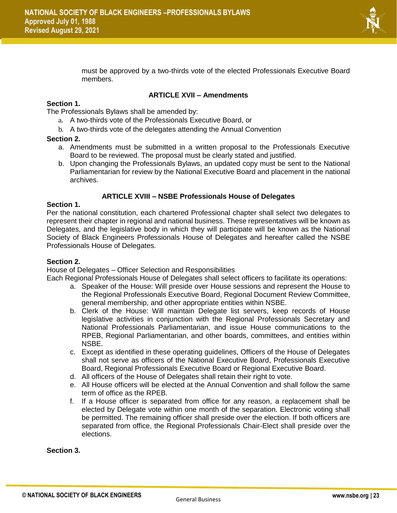

must be approved by a two-thirds vote of the elected Professionals Executive Board members.

#### **ARTICLE XVII – Amendments**

#### **Section 1.**

The Professionals Bylaws shall be amended by:

- a. A two-thirds vote of the Professionals Executive Board, or
- b. A two-thirds vote of the delegates attending the Annual Convention

#### **Section 2.**

- a. Amendments must be submitted in a written proposal to the Professionals Executive Board to be reviewed. The proposal must be clearly stated and justified.
- b. Upon changing the Professionals Bylaws, an updated copy must be sent to the National Parliamentarian for review by the National Executive Board and placement in the national archives.

#### **ARTICLE XVIII – NSBE Professionals House of Delegates**

#### **Section 1.**

Per the national constitution, each chartered Professional chapter shall select two delegates to represent their chapter in regional and national business. These representatives will be known as Delegates, and the legislative body in which they will participate will be known as the National Society of Black Engineers Professionals House of Delegates and hereafter called the NSBE Professionals House of Delegates.

#### **Section 2.**

House of Delegates – Officer Selection and Responsibilities

Each Regional Professionals House of Delegates shall select officers to facilitate its operations:

- a. Speaker of the House: Will preside over House sessions and represent the House to the Regional Professionals Executive Board, Regional Document Review Committee, general membership, and other appropriate entities within NSBE.
- b. Clerk of the House: Will maintain Delegate list servers, keep records of House legislative activities in conjunction with the Regional Professionals Secretary and National Professionals Parliamentarian, and issue House communications to the RPEB, Regional Parliamentarian, and other boards, committees, and entities within NSBE.
- c. Except as identified in these operating guidelines, Officers of the House of Delegates shall not serve as officers of the National Executive Board, Professionals Executive Board, Regional Professionals Executive Board or Regional Executive Board.
- d. All officers of the House of Delegates shall retain their right to vote.
- e. All House officers will be elected at the Annual Convention and shall follow the same term of office as the RPEB.
- f. If a House officer is separated from office for any reason, a replacement shall be elected by Delegate vote within one month of the separation. Electronic voting shall be permitted. The remaining officer shall preside over the election. If both officers are separated from office, the Regional Professionals Chair-Elect shall preside over the elections.

#### **Section 3.**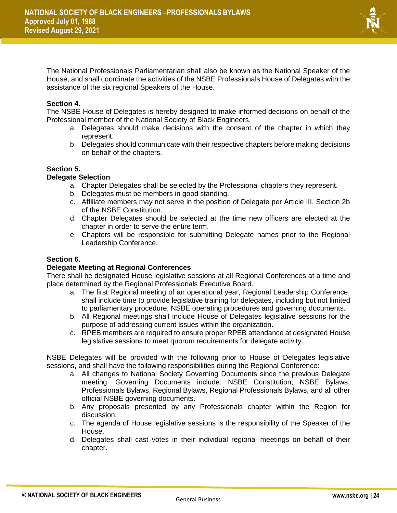

The National Professionals Parliamentarian shall also be known as the National Speaker of the House, and shall coordinate the activities of the NSBE Professionals House of Delegates with the assistance of the six regional Speakers of the House.

#### **Section 4.**

The NSBE House of Delegates is hereby designed to make informed decisions on behalf of the Professional member of the National Society of Black Engineers.

- a. Delegates should make decisions with the consent of the chapter in which they represent.
- b. Delegates should communicate with their respective chapters before making decisions on behalf of the chapters.

#### **Section 5.**

#### **Delegate Selection**

- a. Chapter Delegates shall be selected by the Professional chapters they represent.
- b. Delegates must be members in good standing.
- c. Affiliate members may not serve in the position of Delegate per Article III, Section 2b of the NSBE Constitution.
- d. Chapter Delegates should be selected at the time new officers are elected at the chapter in order to serve the entire term.
- e. Chapters will be responsible for submitting Delegate names prior to the Regional Leadership Conference.

#### **Section 6.**

#### **Delegate Meeting at Regional Conferences**

There shall be designated House legislative sessions at all Regional Conferences at a time and place determined by the Regional Professionals Executive Board.

- a. The first Regional meeting of an operational year, Regional Leadership Conference, shall include time to provide legislative training for delegates, including but not limited to parliamentary procedure, NSBE operating procedures and governing documents.
- b. All Regional meetings shall include House of Delegates legislative sessions for the purpose of addressing current issues within the organization.
- c. RPEB members are required to ensure proper RPEB attendance at designated House legislative sessions to meet quorum requirements for delegate activity.

NSBE Delegates will be provided with the following prior to House of Delegates legislative sessions, and shall have the following responsibilities during the Regional Conference:

- a. All changes to National Society Governing Documents since the previous Delegate meeting. Governing Documents include: NSBE Constitution, NSBE Bylaws, Professionals Bylaws, Regional Bylaws, Regional Professionals Bylaws, and all other official NSBE governing documents.
- b. Any proposals presented by any Professionals chapter within the Region for discussion.
- c. The agenda of House legislative sessions is the responsibility of the Speaker of the House.
- d. Delegates shall cast votes in their individual regional meetings on behalf of their chapter.